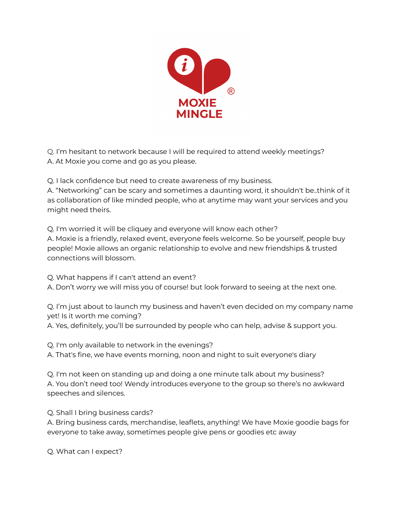

Q. I'm hesitant to network because I will be required to attend weekly meetings? A. At Moxie you come and go as you please.

Q. I lack confidence but need to create awareness of my business.

A. "Networking" can be scary and sometimes a daunting word, it shouldn't be..think of it as collaboration of like minded people, who at anytime may want your services and you might need theirs.

Q. I'm worried it will be cliquey and everyone will know each other? A. Moxie is a friendly, relaxed event, everyone feels welcome. So be yourself, people buy people! Moxie allows an organic relationship to evolve and new friendships & trusted connections will blossom.

Q. What happens if I can't attend an event?

A. Don't worry we will miss you of course! but look forward to seeing at the next one.

Q. I'm just about to launch my business and haven't even decided on my company name yet! Is it worth me coming?

A. Yes, definitely, you'll be surrounded by people who can help, advise & support you.

Q. I'm only available to network in the evenings? A. That's fine, we have events morning, noon and night to suit everyone's diary

Q. I'm not keen on standing up and doing a one minute talk about my business? A. You don't need too! Wendy introduces everyone to the group so there's no awkward speeches and silences.

Q. Shall I bring business cards?

A. Bring business cards, merchandise, leaflets, anything! We have Moxie goodie bags for everyone to take away, sometimes people give pens or goodies etc away

Q. What can I expect?